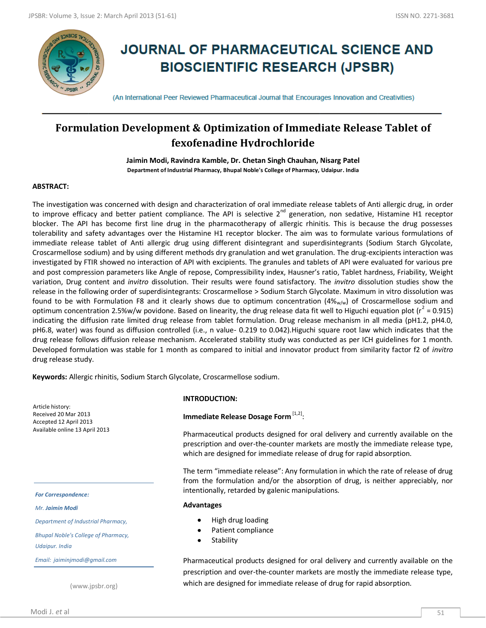

# **JOURNAL OF PHARMACEUTICAL SCIENCE AND BIOSCIENTIFIC RESEARCH (JPSBR)**

(An International Peer Reviewed Pharmaceutical Journal that Encourages Innovation and Creativities)

## **Formulation Development & Optimization of Immediate Release Tablet of fexofenadine Hydrochloride**

**Jaimin Modi, Ravindra Kamble, Dr. Chetan Singh Chauhan, Nisarg Patel Department of Industrial Pharmacy, Bhupal Noble's College of Pharmacy, Udaipur. India**

#### **ABSTRACT:**

The investigation was concerned with design and characterization of oral immediate release tablets of Anti allergic drug, in order to improve efficacy and better patient compliance. The API is selective 2<sup>nd</sup> generation, non sedative, Histamine H1 receptor blocker. The API has become first line drug in the pharmacotherapy of allergic rhinitis. This is because the drug possesses tolerability and safety advantages over the Histamine H1 receptor blocker. The aim was to formulate various formulations of immediate release tablet of Anti allergic drug using different disintegrant and superdisintegrants (Sodium Starch Glycolate, Croscarmellose sodium) and by using different methods dry granulation and wet granulation. The drug-excipients interaction was investigated by FTIR showed no interaction of API with excipients. The granules and tablets of API were evaluated for various pre and post compression parameters like Angle of repose, Compressibility index, Hausner's ratio, Tablet hardness, Friability, Weight variation, Drug content and *invitro* dissolution. Their results were found satisfactory. The *invitro* dissolution studies show the release in the following order of superdisintegrants: Croscarmellose > Sodium Starch Glycolate. Maximum in vitro dissolution was found to be with Formulation F8 and it clearly shows due to optimum concentration  $(4\%_{w/w})$  of Croscarmellose sodium and optimum concentration 2.5%w/w povidone. Based on linearity, the drug release data fit well to Higuchi equation plot ( $r^2$  = 0.915) indicating the diffusion rate limited drug release from tablet formulation. Drug release mechanism in all media (pH1.2, pH4.0, pH6.8, water) was found as diffusion controlled (i.e., n value- 0.219 to 0.042).Higuchi square root law which indicates that the drug release follows diffusion release mechanism. Accelerated stability study was conducted as per ICH guidelines for 1 month. Developed formulation was stable for 1 month as compared to initial and innovator product from similarity factor f2 of *invitro* drug release study.

**Keywords:** Allergic rhinitis, Sodium Starch Glycolate, Croscarmellose sodium.

Article history: Received 20 Mar 2013 Accepted 12 April 2013 Available online 13 April 2013

#### *For Correspondence:*

*Mr. Jaimin Modi*

*Department of Industrial Pharmacy,* 

*Bhupal Noble's College of Pharmacy, Udaipur. India*

*Email: jaiminjmodi@gmail.com*

(www.jpsbr.org)

#### **INTRODUCTION:**

## Immediate Release Dosage Form <sup>[1,2]</sup>:

Pharmaceutical products designed for oral delivery and currently available on the prescription and over-the-counter markets are mostly the immediate release type, which are designed for immediate release of drug for rapid absorption.

The term "immediate release": Any formulation in which the rate of release of drug from the formulation and/or the absorption of drug, is neither appreciably, nor intentionally, retarded by galenic manipulations.

#### **Advantages**

- High drug loading
- Patient compliance  $\bullet$
- **Stability**  $\bullet$

Pharmaceutical products designed for oral delivery and currently available on the prescription and over-the-counter markets are mostly the immediate release type, which are designed for immediate release of drug for rapid absorption.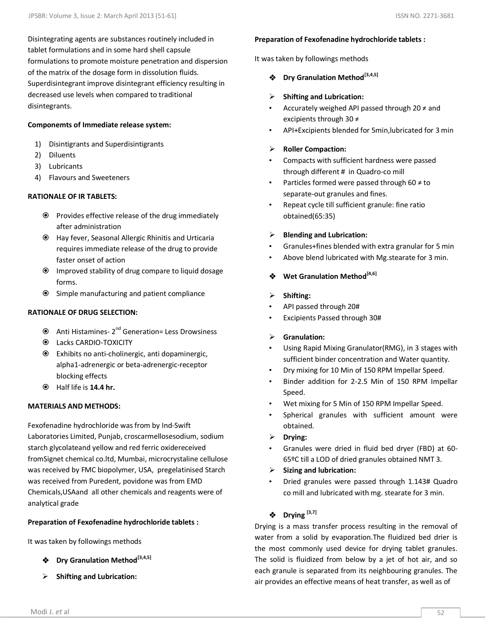Disintegrating agents are substances routinely included in tablet formulations and in some hard shell capsule formulations to promote moisture penetration and dispersion of the matrix of the dosage form in dissolution fluids. Superdisintegrant improve disintegrant efficiency resulting in decreased use levels when compared to traditional disintegrants.

#### **Componemts of Immediate release system:**

- 1) Disintigrants and Superdisintigrants
- 2) Diluents
- 3) Lubricants
- 4) Flavours and Sweeteners

#### **RATIONALE OF IR TABLETS:**

- $\odot$  Provides effective release of the drug immediately after administration
- Hay fever, Seasonal Allergic Rhinitis and Urticaria requires immediate release of the drug to provide faster onset of action
- Improved stability of drug compare to liquid dosage forms.
- Simple manufacturing and patient compliance

#### **RATIONALE OF DRUG SELECTION:**

- Anti Histamines-2<sup>nd</sup> Generation= Less Drowsiness
- $\odot$  Lacks CARDIO-TOXICITY
- Exhibits no anti-cholinergic, anti dopaminergic, alpha1-adrenergic or beta-adrenergic-receptor blocking effects
- Half life is **14.4 hr.**

#### **MATERIALS AND METHODS:**

Fexofenadine hydrochloride was from by Ind-Swift Laboratories Limited, Punjab, croscarmellosesodium, sodium starch glycolateand yellow and red ferric oxidereceived fromSignet chemical co.ltd, Mumbai, microcrystaline cellulose was received by FMC biopolymer, USA, pregelatinised Starch was received from Puredent, povidone was from EMD Chemicals,USAand all other chemicals and reagents were of analytical grade

#### **Preparation of Fexofenadine hydrochloride tablets :**

It was taken by followings methods

- **Dry Granulation Method[3,4,5]**
- **Shifting and Lubrication:**

#### **Preparation of Fexofenadine hydrochloride tablets :**

It was taken by followings methods

**Dry Granulation Method[3,4,5]**

#### **Shifting and Lubrication:**

- Accurately weighed API passed through 20  $\neq$  and excipients through 30 ≠
- API+Excipients blended for 5min,lubricated for 3 min

#### **Roller Compaction:**

- Compacts with sufficient hardness were passed through different # in Quadro-co mill
- Particles formed were passed through 60  $\neq$  to separate-out granules and fines.
- Repeat cycle till sufficient granule: fine ratio obtained(65:35)

#### **Blending and Lubrication:**

- Granules+fines blended with extra granular for 5 min
- Above blend lubricated with Mg.stearate for 3 min.

## **Wet Granulation Method[4,6]**

#### **Shifting:**

- API passed through 20#
- Excipients Passed through 30#

#### **Granulation:**

- Using Rapid Mixing Granulator(RMG), in 3 stages with sufficient binder concentration and Water quantity.
- Dry mixing for 10 Min of 150 RPM Impellar Speed.
- Binder addition for 2-2.5 Min of 150 RPM Impellar Speed.
- Wet mixing for 5 Min of 150 RPM Impellar Speed.
- Spherical granules with sufficient amount were obtained.
- **Drying:**
- Granules were dried in fluid bed dryer (FBD) at 60- 65ºC till a LOD of dried granules obtained NMT 3.
- **Sizing and lubrication:**
- Dried granules were passed through 1.143# Quadro co mill and lubricated with mg. stearate for 3 min.

## $\triangleleft$  Drying  $^{[3,7]}$

Drying is a mass transfer process resulting in the removal of water from a solid by evaporation.The fluidized bed drier is the most commonly used device for drying tablet granules. The solid is fluidized from below by a jet of hot air, and so each granule is separated from its neighbouring granules. The air provides an effective means of heat transfer, as well as of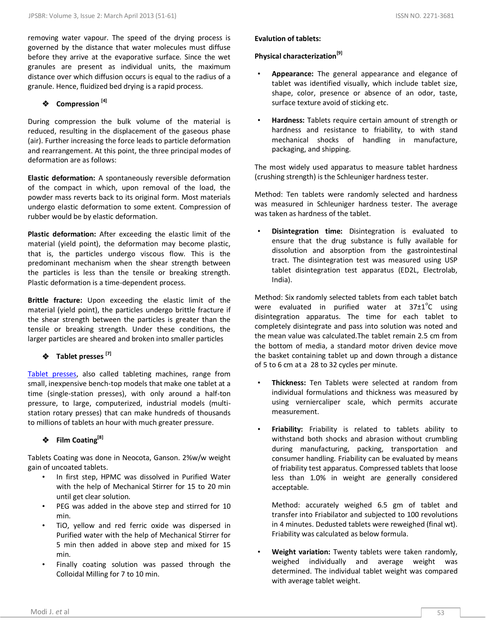removing water vapour. The speed of the drying process is governed by the distance that water molecules must diffuse before they arrive at the evaporative surface. Since the wet granules are present as individual units, the maximum distance over which diffusion occurs is equal to the radius of a granule. Hence, fluidized bed drying is a rapid process.

## **Compression [4]**

During compression the bulk volume of the material is reduced, resulting in the displacement of the gaseous phase (air). Further increasing the force leads to particle deformation and rearrangement. At this point, the three principal modes of deformation are as follows:

**Elastic deformation:** A spontaneously reversible deformation of the compact in which, upon removal of the load, the powder mass reverts back to its original form. Most materials undergo elastic deformation to some extent. Compression of rubber would be by elastic deformation.

**Plastic deformation:** After exceeding the elastic limit of the material (yield point), the deformation may become plastic, that is, the particles undergo viscous flow. This is the predominant mechanism when the shear strength between the particles is less than the tensile or breaking strength. Plastic deformation is a time-dependent process.

**Brittle fracture:** Upon exceeding the elastic limit of the material (yield point), the particles undergo brittle fracture if the shear strength between the particles is greater than the tensile or breaking strength. Under these conditions, the larger particles are sheared and broken into smaller particles

**Tablet presses [7]**

[Tablet presses,](http://en.wikipedia.org/wiki/Tablet_press) also called tableting machines, range from small, inexpensive bench-top models that make one tablet at a time (single-station presses), with only around a half-ton pressure, to large, computerized, industrial models (multistation rotary presses) that can make hundreds of thousands to millions of tablets an hour with much greater pressure.

## **Film Coating[8]**

Tablets Coating was done in Neocota, Ganson. 2%w/w weight gain of uncoated tablets.

- In first step, HPMC was dissolved in Purified Water with the help of Mechanical Stirrer for 15 to 20 min until get clear solution.
- PEG was added in the above step and stirred for 10 min.
- TiO, yellow and red ferric oxide was dispersed in Purified water with the help of Mechanical Stirrer for 5 min then added in above step and mixed for 15 min.
- Finally coating solution was passed through the Colloidal Milling for 7 to 10 min.

#### **Evalution of tablets:**

#### **Physical characterization[9]**

- **Appearance:** The general appearance and elegance of tablet was identified visually, which include tablet size, shape, color, presence or absence of an odor, taste, surface texture avoid of sticking etc.
- **Hardness:** Tablets require certain amount of strength or hardness and resistance to friability, to with stand mechanical shocks of handling in manufacture, packaging, and shipping.

The most widely used apparatus to measure tablet hardness (crushing strength) is the Schleuniger hardness tester.

Method: Ten tablets were randomly selected and hardness was measured in Schleuniger hardness tester. The average was taken as hardness of the tablet.

• **Disintegration time:** Disintegration is evaluated to ensure that the drug substance is fully available for dissolution and absorption from the gastrointestinal tract. The disintegration test was measured using USP tablet disintegration test apparatus (ED2L, Electrolab, India).

Method: Six randomly selected tablets from each tablet batch were evaluated in purified water at  $37\pm1^{\circ}$ C using disintegration apparatus. The time for each tablet to completely disintegrate and pass into solution was noted and the mean value was calculated.The tablet remain 2.5 cm from the bottom of media, a standard motor driven device move the basket containing tablet up and down through a distance of 5 to 6 cm at a 28 to 32 cycles per minute.

- **Thickness:** Ten Tablets were selected at random from individual formulations and thickness was measured by using verniercaliper scale, which permits accurate measurement.
- **Friability:** Friability is related to tablets ability to withstand both shocks and abrasion without crumbling during manufacturing, packing, transportation and consumer handling. Friability can be evaluated by means of friability test apparatus. Compressed tablets that loose less than 1.0% in weight are generally considered acceptable.

Method: accurately weighed 6.5 gm of tablet and transfer into Friabilator and subjected to 100 revolutions in 4 minutes. Dedusted tablets were reweighed (final wt). Friability was calculated as below formula.

• **Weight variation:** Twenty tablets were taken randomly, weighed individually and average weight was determined. The individual tablet weight was compared with average tablet weight.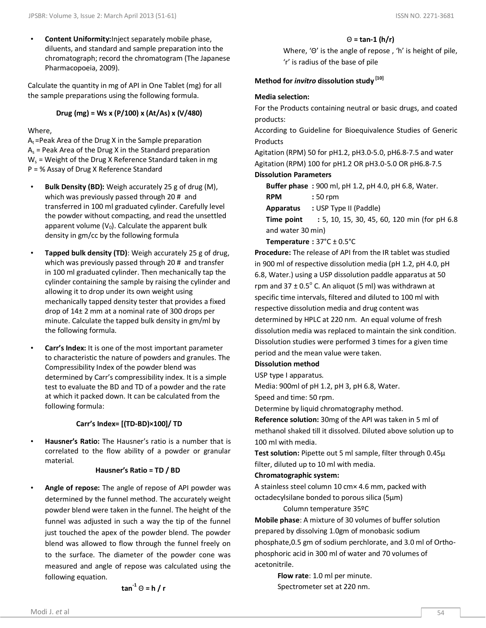• **Content Uniformity:**Inject separately mobile phase, diluents, and standard and sample preparation into the chromatograph; record the chromatogram (The Japanese Pharmacopoeia, 2009).

Calculate the quantity in mg of API in One Tablet (mg) for all the sample preparations using the following formula.

### **Drug (mg) = Ws x (P/100) x (At/As) x (V/480)**

#### Where,

 $A_t$  =Peak Area of the Drug X in the Sample preparation  $A_s$  = Peak Area of the Drug X in the Standard preparation  $W_s$  = Weight of the Drug X Reference Standard taken in mg P = % Assay of Drug X Reference Standard

- **Bulk Density (BD):** Weigh accurately 25 g of drug (M), which was previously passed through 20 # and transferred in 100 ml graduated cylinder. Carefully level the powder without compacting, and read the unsettled apparent volume  $(V_0)$ . Calculate the apparent bulk density in gm/cc by the following formula
- **Tapped bulk density (TD)**: Weigh accurately 25 g of drug, which was previously passed through 20 # and transfer in 100 ml graduated cylinder. Then mechanically tap the cylinder containing the sample by raising the cylinder and allowing it to drop under its own weight using mechanically tapped density tester that provides a fixed drop of 14± 2 mm at a nominal rate of 300 drops per minute. Calculate the tapped bulk density in gm/ml by the following formula.
- **Carr's Index:** It is one of the most important parameter to characteristic the nature of powders and granules. The Compressibility Index of the powder blend was determined by Carr's compressibility index. It is a simple test to evaluate the BD and TD of a powder and the rate at which it packed down. It can be calculated from the following formula:

#### **Carr's Index= \*(TD-BD)×100]/ TD**

• **Hausner's Ratio:** The Hausner's ratio is a number that is correlated to the flow ability of a powder or granular material.

#### **Hausner's Ratio = TD / BD**

• **Angle of repose:** The angle of repose of API powder was determined by the funnel method. The accurately weight powder blend were taken in the funnel. The height of the funnel was adjusted in such a way the tip of the funnel just touched the apex of the powder blend. The powder blend was allowed to flow through the funnel freely on to the surface. The diameter of the powder cone was measured and angle of repose was calculated using the following equation.

$$
\tan^{-1} \Theta = h / r
$$

#### Θ **= tan-1 (h/r)**

Where, 'Θ' is the angle of repose , 'h' is height of pile, 'r' is radius of the base of pile

#### **Method for** *invitro* **dissolution study [10]**

#### **Media selection:**

For the Products containing neutral or basic drugs, and coated products:

According to Guideline for Bioequivalence Studies of Generic Products

Agitation (RPM) 50 for pH1.2, pH3.0-5.0, pH6.8-7.5 and water Agitation (RPM) 100 for pH1.2 OR pH3.0-5.0 OR pH6.8-7.5

## **Dissolution Parameters**

**Buffer phase :** 900 ml, pH 1.2, pH 4.0, pH 6.8, Water.

**RPM :** 50 rpm

**Apparatus :** USP Type II (Paddle)

**Time point : 5, 10, 15, 30, 45, 60, 120 min (for pH 6.8)** and water 30 min)

#### **Temperature :** 37°C ± 0.5°C

**Procedure:** The release of API from the IR tablet was studied in 900 ml of respective dissolution media (pH 1.2, pH 4.0, pH 6.8, Water.) using a USP dissolution paddle apparatus at 50 rpm and  $37 \pm 0.5^{\circ}$  C. An aliquot (5 ml) was withdrawn at specific time intervals, filtered and diluted to 100 ml with respective dissolution media and drug content was determined by HPLC at 220 nm. An equal volume of fresh dissolution media was replaced to maintain the sink condition. Dissolution studies were performed 3 times for a given time period and the mean value were taken.

#### **Dissolution method**

USP type I apparatus.

Media: 900ml of pH 1.2, pH 3, pH 6.8, Water.

Speed and time: 50 rpm.

Determine by liquid chromatography method.

**Reference solution:** 30mg of the API was taken in 5 ml of methanol shaked till it dissolved. Diluted above solution up to 100 ml with media.

**Test solution:** Pipette out 5 ml sample, filter through 0.45µ filter, diluted up to 10 ml with media.

#### **Chromatographic system:**

A stainless steel column 10 cm× 4.6 mm, packed with octadecylsilane bonded to porous silica (5µm)

#### Column temperature 35ºC

**Mobile phase**: A mixture of 30 volumes of buffer solution prepared by dissolving 1.0gm of monobasic sodium phosphate,0.5 gm of sodium perchlorate, and 3.0 ml of Orthophosphoric acid in 300 ml of water and 70 volumes of acetonitrile.

> **Flow rate**: 1.0 ml per minute. Spectrometer set at 220 nm.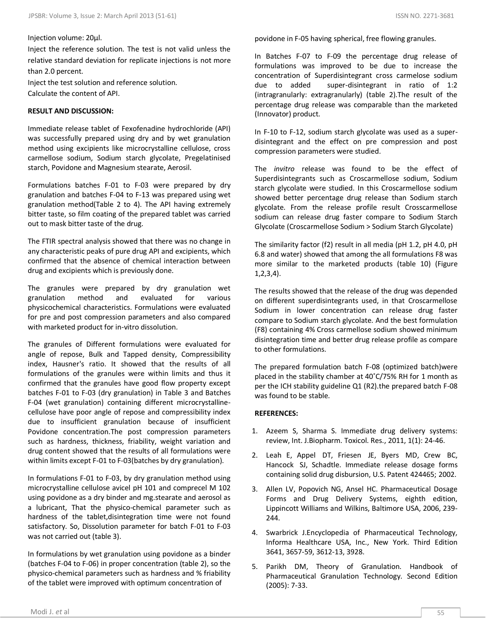#### Injection volume: 20µl.

Inject the reference solution. The test is not valid unless the relative standard deviation for replicate injections is not more than 2.0 percent.

Inject the test solution and reference solution. Calculate the content of API.

#### **RESULT AND DISCUSSION:**

Immediate release tablet of Fexofenadine hydrochloride (API) was successfully prepared using dry and by wet granulation method using excipients like microcrystalline cellulose, cross carmellose sodium, Sodium starch glycolate, Pregelatinised starch, Povidone and Magnesium stearate, Aerosil.

Formulations batches F-01 to F-03 were prepared by dry granulation and batches F-04 to F-13 was prepared using wet granulation method(Table 2 to 4). The API having extremely bitter taste, so film coating of the prepared tablet was carried out to mask bitter taste of the drug.

The FTIR spectral analysis showed that there was no change in any characteristic peaks of pure drug API and excipients, which confirmed that the absence of chemical interaction between drug and excipients which is previously done.

The granules were prepared by dry granulation wet granulation method and evaluated for various physicochemical characteristics. Formulations were evaluated for pre and post compression parameters and also compared with marketed product for in-vitro dissolution.

The granules of Different formulations were evaluated for angle of repose, Bulk and Tapped density, Compressibility index, Hausner's ratio. It showed that the results of all formulations of the granules were within limits and thus it confirmed that the granules have good flow property except batches F-01 to F-03 (dry granulation) in Table 3 and Batches F-04 (wet granulation) containing different microcrystallinecellulose have poor angle of repose and compressibility index due to insufficient granulation because of insufficient Povidone concentration.The post compression parameters such as hardness, thickness, friability, weight variation and drug content showed that the results of all formulations were within limits except F-01 to F-03(batches by dry granulation).

In formulations F-01 to F-03, by dry granulation method using microcrystalline cellulose avicel pH 101 and comprecel M 102 using povidone as a dry binder and mg.stearate and aerosol as a lubricant, That the physico-chemical parameter such as hardness of the tablet,disintegration time were not found satisfactory. So, Dissolution parameter for batch F-01 to F-03 was not carried out (table 3).

In formulations by wet granulation using povidone as a binder (batches F-04 to F-06) in proper concentration (table 2), so the physico-chemical parameters such as hardness and % friability of the tablet were improved with optimum concentration of

In Batches F-07 to F-09 the percentage drug release of formulations was improved to be due to increase the concentration of Superdisintegrant cross carmelose sodium due to added super-disintegrant in ratio of 1:2 (intragranularly: extragranularly) (table 2).The result of the percentage drug release was comparable than the marketed (Innovator) product.

In F-10 to F-12, sodium starch glycolate was used as a superdisintegrant and the effect on pre compression and post compression parameters were studied.

The *invitro* release was found to be the effect of Superdisintegrants such as Croscarmellose sodium, Sodium starch glycolate were studied. In this Croscarmellose sodium showed better percentage drug release than Sodium starch glycolate. From the release profile result Crosscarmellose sodium can release drug faster compare to Sodium Starch Glycolate (Croscarmellose Sodium > Sodium Starch Glycolate)

The similarity factor (f2) result in all media (pH 1.2, pH 4.0, pH 6.8 and water) showed that among the all formulations F8 was more similar to the marketed products (table 10) (Figure 1,2,3,4).

The results showed that the release of the drug was depended on different superdisintegrants used, in that Croscarmellose Sodium in lower concentration can release drug faster compare to Sodium starch glycolate. And the best formulation (F8) containing 4% Cross carmellose sodium showed minimum disintegration time and better drug release profile as compare to other formulations.

The prepared formulation batch F-08 (optimized batch)were placed in the stability chamber at 40˚C/75% RH for 1 month as per the ICH stability guideline Q1 (R2).the prepared batch F-08 was found to be stable.

#### **REFERENCES:**

- 1. Azeem S, Sharma S. Immediate drug delivery systems: review, Int. J.Biopharm. Toxicol. Res., 2011, 1(1): 24-46.
- 2. Leah E, Appel DT, Friesen JE, Byers MD, Crew BC, Hancock SJ, Schadtle. Immediate release dosage forms containing solid drug disbursion, U.S. Patent 424465; 2002.
- 3. Allen LV, Popovich NG, Ansel HC. Pharmaceutical Dosage Forms and Drug Delivery Systems, eighth edition, Lippincott Williams and Wilkins, Baltimore USA, 2006, 239- 244.
- 4. Swarbrick J.Encyclopedia of Pharmaceutical Technology, Informa Healthcare USA, Inc., New York. Third Edition 3641, 3657-59, 3612-13, 3928.
- 5. Parikh DM, Theory of Granulation. Handbook of Pharmaceutical Granulation Technology. Second Edition (2005): 7-33.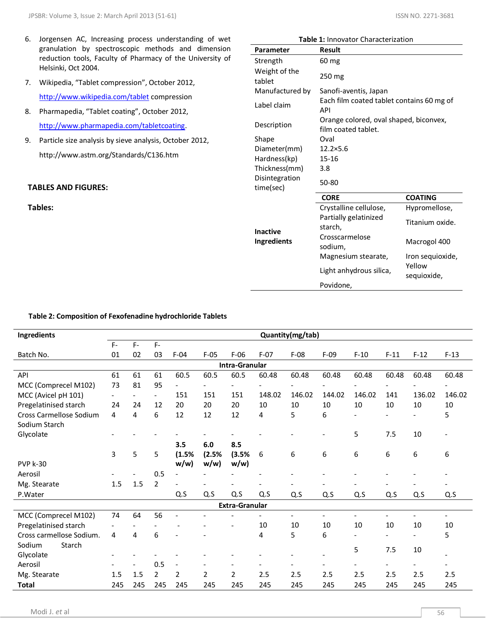- 6. Jorgensen AC, Increasing process understanding of wet granulation by spectroscopic methods and dimension reduction tools, Faculty of Pharmacy of the University of Helsinki, Oct 2004.
- 7. Wikipedia, "Tablet compression", October 2012, <http://www.wikipedia.com/tablet> compression
- 8. Pharmapedia, "Tablet coating", October 2012, [http://www.pharmapedia.com/tabletcoating.](http://www.pharmapedia.com/tabletcoating)
- 9. Particle size analysis by sieve analysis, October 2012, http://www.astm.org/Standards/C136.htm

## **TABLES AND FIGURES:**

**Tables:**

|                             | <b>Table 1: Innovator Characterization</b>                    |                       |
|-----------------------------|---------------------------------------------------------------|-----------------------|
| Parameter                   | <b>Result</b>                                                 |                       |
| Strength                    | $60 \,\mathrm{mg}$                                            |                       |
| Weight of the<br>tablet     | 250 mg                                                        |                       |
| Manufactured by             | Sanofi-aventis, Japan                                         |                       |
| Label claim                 | Each film coated tablet contains 60 mg of<br><b>API</b>       |                       |
| Description                 | Orange colored, oval shaped, biconvex,<br>film coated tablet. |                       |
| Shape                       | Oval                                                          |                       |
| Diameter(mm)                | $12.2 \times 5.6$                                             |                       |
| Hardness(kp)                | $15 - 16$                                                     |                       |
| Thickness(mm)               | 3.8                                                           |                       |
| Disintegration<br>time(sec) | 50-80                                                         |                       |
|                             | <b>CORE</b>                                                   | <b>COATING</b>        |
|                             | Crystalline cellulose,                                        | Hypromellose,         |
| <b>Inactive</b>             | Partially gelatinized<br>starch,                              | Titanium oxide.       |
| <b>Ingredients</b>          | Crosscarmelose<br>sodium,                                     | Macrogol 400          |
|                             | Magnesium stearate,                                           | Iron sequioxide,      |
|                             | Light anhydrous silica,                                       | Yellow<br>sequioxide, |
|                             | Povidone,                                                     |                       |

#### **Table 2: Composition of Fexofenadine hydrochloride Tablets**

| Quantity(mg/tab)         |       |                          |                          |                          |                          |        |                                         |                |                |                          |                          |                          |
|--------------------------|-------|--------------------------|--------------------------|--------------------------|--------------------------|--------|-----------------------------------------|----------------|----------------|--------------------------|--------------------------|--------------------------|
| $F -$                    | $F -$ | F-                       |                          |                          |                          |        |                                         |                |                |                          |                          |                          |
| 01                       | 02    | 03                       | $F-04$                   | $F-05$                   | $F-06$                   | $F-07$ | $F-08$                                  | $F-09$         | $F-10$         | $F-11$                   | $F-12$                   | $F-13$                   |
|                          |       |                          |                          |                          |                          |        |                                         |                |                |                          |                          |                          |
| 61                       | 61    | 61                       | 60.5                     | 60.5                     | 60.5                     | 60.48  | 60.48                                   | 60.48          | 60.48          | 60.48                    | 60.48                    | 60.48                    |
| 73                       | 81    | 95                       | $\blacksquare$           | $\overline{\phantom{a}}$ | $\overline{\phantom{a}}$ |        |                                         |                |                | $\overline{\phantom{0}}$ |                          |                          |
| $\overline{\phantom{a}}$ |       | $\overline{\phantom{a}}$ | 151                      | 151                      | 151                      | 148.02 | 146.02                                  | 144.02         | 146.02         | 141                      | 136.02                   | 146.02                   |
| 24                       | 24    | 12                       | 20                       | 20                       | 20                       | 10     | 10                                      | 10             | 10             | 10                       | 10                       | 10                       |
| 4                        | 4     | 6                        | 12                       | 12                       | 12                       | 4      | 5                                       | 6              |                |                          |                          | 5                        |
|                          |       |                          |                          |                          |                          |        |                                         |                | 5              | 7.5                      | 10                       |                          |
|                          |       |                          | 3.5                      | 6.0                      | 8.5                      |        |                                         |                |                |                          |                          |                          |
| 3                        | 5     | 5                        | (1.5%                    | (2.5%                    | (3.5%                    | 6      | 6                                       | 6              | 6              | 6                        | 6                        | 6                        |
|                          |       |                          | w/w                      | w/w                      | w/w)                     |        |                                         |                |                |                          |                          |                          |
|                          |       | 0.5                      |                          |                          |                          |        |                                         |                |                |                          |                          |                          |
| 1.5                      |       |                          |                          |                          |                          |        |                                         |                |                |                          |                          |                          |
|                          |       |                          | Q.S                      | Q.S                      |                          | Q.S    | Q.S                                     | Q.S            | Q.S            | Q.S                      | Q.S                      | Q.S                      |
|                          |       |                          |                          |                          |                          |        |                                         |                |                |                          |                          |                          |
| 74                       | 64    | 56                       |                          |                          |                          |        | $\frac{1}{2}$                           | $\blacksquare$ | $\blacksquare$ | $\overline{\phantom{0}}$ | $\overline{\phantom{0}}$ | $\overline{\phantom{a}}$ |
|                          |       |                          |                          |                          |                          | 10     | 10                                      | 10             | 10             | 10                       | 10                       | 10                       |
| 4                        | 4     | 6                        |                          |                          |                          | 4      |                                         | 6              |                | $\overline{\phantom{a}}$ | $\overline{\phantom{0}}$ | 5                        |
|                          |       |                          |                          |                          |                          |        |                                         |                |                |                          |                          |                          |
|                          |       |                          |                          |                          |                          |        |                                         |                |                |                          |                          |                          |
|                          |       |                          | $\overline{\phantom{a}}$ | $\overline{\phantom{a}}$ |                          |        |                                         |                |                | $\overline{\phantom{a}}$ | $\overline{\phantom{0}}$ | $\overline{\phantom{a}}$ |
| 1.5                      | 1.5   | $\overline{2}$           | $\overline{2}$           | $\overline{2}$           | $\overline{2}$           | 2.5    | 2.5                                     | 2.5            | 2.5            | 2.5                      | 2.5                      | 2.5                      |
| 245                      | 245   | 245                      | 245                      | 245                      | 245                      | 245    | 245                                     | 245            | 245            | 245                      | 245                      | 245                      |
|                          |       | 1.5                      | $\overline{2}$<br>0.5    |                          |                          | Q.S    | Intra-Granular<br><b>Extra-Granular</b> | 5              |                | 5                        | 7.5                      | 10                       |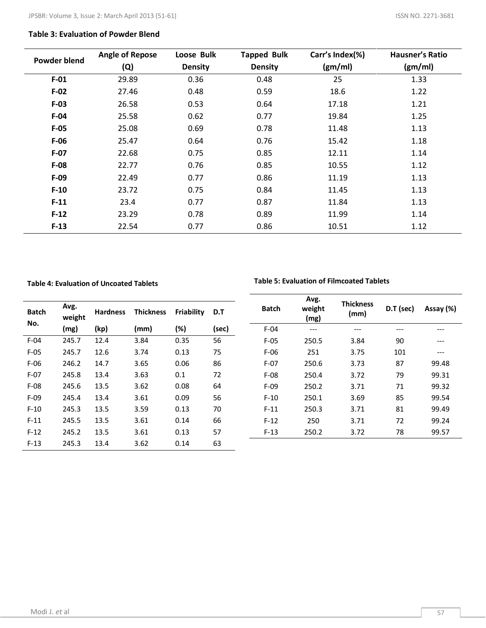#### **Table 3: Evaluation of Powder Blend**

| <b>Powder blend</b> | <b>Angle of Repose</b> | Loose Bulk     | <b>Tapped Bulk</b> | Carr's Index(%) | <b>Hausner's Ratio</b> |
|---------------------|------------------------|----------------|--------------------|-----------------|------------------------|
|                     | (Q)                    | <b>Density</b> | <b>Density</b>     | (gm/ml)         | (gm/ml)                |
| $F-01$              | 29.89                  | 0.36           | 0.48               | 25              | 1.33                   |
| $F-02$              | 27.46                  | 0.48           | 0.59               | 18.6            | 1.22                   |
| $F-03$              | 26.58                  | 0.53           | 0.64               | 17.18           | 1.21                   |
| $F-04$              | 25.58                  | 0.62           | 0.77               | 19.84           | 1.25                   |
| $F-05$              | 25.08                  | 0.69           | 0.78               | 11.48           | 1.13                   |
| $F-06$              | 25.47                  | 0.64           | 0.76               | 15.42           | 1.18                   |
| $F-07$              | 22.68                  | 0.75           | 0.85               | 12.11           | 1.14                   |
| $F-08$              | 22.77                  | 0.76           | 0.85               | 10.55           | 1.12                   |
| $F-09$              | 22.49                  | 0.77           | 0.86               | 11.19           | 1.13                   |
| $F-10$              | 23.72                  | 0.75           | 0.84               | 11.45           | 1.13                   |
| $F-11$              | 23.4                   | 0.77           | 0.87               | 11.84           | 1.13                   |
| $F-12$              | 23.29                  | 0.78           | 0.89               | 11.99           | 1.14                   |
| $F-13$              | 22.54                  | 0.77           | 0.86               | 10.51           | 1.12                   |

#### **Table 4: Evaluation of Uncoated Tablets**

#### **Table 5: Evaluation of Filmcoated Tablets**

| <b>Batch</b><br>No. | Avg.<br>weight | <b>Hardness</b> | <b>Thickness</b> | Friability | D.T   | <b>Batch</b> | Avg.<br>weight<br>(mg) | <b>Thickness</b><br>(mm) | D.T (sec) | Assay (%) |
|---------------------|----------------|-----------------|------------------|------------|-------|--------------|------------------------|--------------------------|-----------|-----------|
|                     | (mg)           | (kp)            | (mm)             | (%)        | (sec) | $F-04$       | ---                    | ---                      | ---       | ---       |
| $F-04$              | 245.7          | 12.4            | 3.84             | 0.35       | 56    | $F-05$       | 250.5                  | 3.84                     | 90        | $---$     |
| $F-05$              | 245.7          | 12.6            | 3.74             | 0.13       | 75    | $F-06$       | 251                    | 3.75                     | 101       | $---$     |
| $F-06$              | 246.2          | 14.7            | 3.65             | 0.06       | 86    | $F-07$       | 250.6                  | 3.73                     | 87        | 99.48     |
| $F-07$              | 245.8          | 13.4            | 3.63             | 0.1        | 72    | $F-08$       | 250.4                  | 3.72                     | 79        | 99.31     |
| $F-08$              | 245.6          | 13.5            | 3.62             | 0.08       | 64    | $F-09$       | 250.2                  | 3.71                     | 71        | 99.32     |
| $F-09$              | 245.4          | 13.4            | 3.61             | 0.09       | 56    | $F-10$       | 250.1                  | 3.69                     | 85        | 99.54     |
| $F-10$              | 245.3          | 13.5            | 3.59             | 0.13       | 70    | $F-11$       | 250.3                  | 3.71                     | 81        | 99.49     |
| $F-11$              | 245.5          | 13.5            | 3.61             | 0.14       | 66    | $F-12$       | 250                    | 3.71                     | 72        | 99.24     |
| $F-12$              | 245.2          | 13.5            | 3.61             | 0.13       | 57    | $F-13$       | 250.2                  | 3.72                     | 78        | 99.57     |
| $F-13$              | 245.3          | 13.4            | 3.62             | 0.14       | 63    |              |                        |                          |           |           |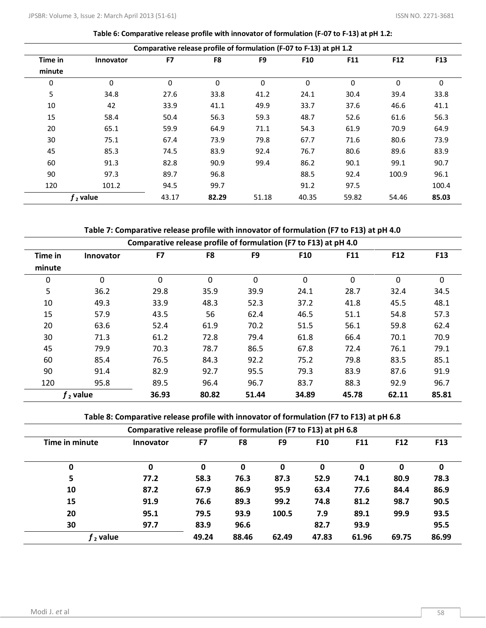| Table 6: Comparative release profile with innovator of formulation (F-07 to F-13) at pH 1.2: |  |  |  |
|----------------------------------------------------------------------------------------------|--|--|--|
|----------------------------------------------------------------------------------------------|--|--|--|

|             | Comparative release profile of formulation (F-07 to F-13) at pH 1.2 |       |          |                |            |       |          |                 |  |  |  |
|-------------|---------------------------------------------------------------------|-------|----------|----------------|------------|-------|----------|-----------------|--|--|--|
| Time in     | <b>Innovator</b>                                                    | F7    | F8       | F <sub>9</sub> | <b>F10</b> | F11   | F12      | F <sub>13</sub> |  |  |  |
| minute      |                                                                     |       |          |                |            |       |          |                 |  |  |  |
| $\mathbf 0$ | 0                                                                   | 0     | $\Omega$ | $\Omega$       | $\Omega$   | 0     | $\Omega$ | $\Omega$        |  |  |  |
| 5           | 34.8                                                                | 27.6  | 33.8     | 41.2           | 24.1       | 30.4  | 39.4     | 33.8            |  |  |  |
| 10          | 42                                                                  | 33.9  | 41.1     | 49.9           | 33.7       | 37.6  | 46.6     | 41.1            |  |  |  |
| 15          | 58.4                                                                | 50.4  | 56.3     | 59.3           | 48.7       | 52.6  | 61.6     | 56.3            |  |  |  |
| 20          | 65.1                                                                | 59.9  | 64.9     | 71.1           | 54.3       | 61.9  | 70.9     | 64.9            |  |  |  |
| 30          | 75.1                                                                | 67.4  | 73.9     | 79.8           | 67.7       | 71.6  | 80.6     | 73.9            |  |  |  |
| 45          | 85.3                                                                | 74.5  | 83.9     | 92.4           | 76.7       | 80.6  | 89.6     | 83.9            |  |  |  |
| 60          | 91.3                                                                | 82.8  | 90.9     | 99.4           | 86.2       | 90.1  | 99.1     | 90.7            |  |  |  |
| 90          | 97.3                                                                | 89.7  | 96.8     |                | 88.5       | 92.4  | 100.9    | 96.1            |  |  |  |
| 120         | 101.2                                                               | 94.5  | 99.7     |                | 91.2       | 97.5  |          | 100.4           |  |  |  |
|             | $f2$ value                                                          | 43.17 | 82.29    | 51.18          | 40.35      | 59.82 | 54.46    | 85.03           |  |  |  |

| Table 7: Comparative release profile with innovator of formulation (F7 to F13) at pH 4.0 |  |  |
|------------------------------------------------------------------------------------------|--|--|
|                                                                                          |  |  |

|         | Comparative release profile of formulation (F7 to F13) at pH 4.0 |          |          |       |       |            |       |       |  |  |  |
|---------|------------------------------------------------------------------|----------|----------|-------|-------|------------|-------|-------|--|--|--|
| Time in | <b>Innovator</b>                                                 | F7       | F8       | F9    | F10   | <b>F11</b> | F12   | F13   |  |  |  |
| minute  |                                                                  |          |          |       |       |            |       |       |  |  |  |
| 0       | $\mathbf{0}$                                                     | $\Omega$ | $\Omega$ | 0     | 0     | 0          | 0     | 0     |  |  |  |
| 5       | 36.2                                                             | 29.8     | 35.9     | 39.9  | 24.1  | 28.7       | 32.4  | 34.5  |  |  |  |
| 10      | 49.3                                                             | 33.9     | 48.3     | 52.3  | 37.2  | 41.8       | 45.5  | 48.1  |  |  |  |
| 15      | 57.9                                                             | 43.5     | 56       | 62.4  | 46.5  | 51.1       | 54.8  | 57.3  |  |  |  |
| 20      | 63.6                                                             | 52.4     | 61.9     | 70.2  | 51.5  | 56.1       | 59.8  | 62.4  |  |  |  |
| 30      | 71.3                                                             | 61.2     | 72.8     | 79.4  | 61.8  | 66.4       | 70.1  | 70.9  |  |  |  |
| 45      | 79.9                                                             | 70.3     | 78.7     | 86.5  | 67.8  | 72.4       | 76.1  | 79.1  |  |  |  |
| 60      | 85.4                                                             | 76.5     | 84.3     | 92.2  | 75.2  | 79.8       | 83.5  | 85.1  |  |  |  |
| 90      | 91.4                                                             | 82.9     | 92.7     | 95.5  | 79.3  | 83.9       | 87.6  | 91.9  |  |  |  |
| 120     | 95.8                                                             | 89.5     | 96.4     | 96.7  | 83.7  | 88.3       | 92.9  | 96.7  |  |  |  |
|         | $f2$ value                                                       | 36.93    | 80.82    | 51.44 | 34.89 | 45.78      | 62.11 | 85.81 |  |  |  |

**Table 8: Comparative release profile with innovator of formulation (F7 to F13) at pH 6.8**

|                | Comparative release profile of formulation (F7 to F13) at pH 6.8 |       |       |                |                 |            |                 |            |  |  |  |
|----------------|------------------------------------------------------------------|-------|-------|----------------|-----------------|------------|-----------------|------------|--|--|--|
| Time in minute | <b>Innovator</b>                                                 | F7    | F8    | F <sub>9</sub> | F <sub>10</sub> | <b>F11</b> | F <sub>12</sub> | <b>F13</b> |  |  |  |
| 0              | 0                                                                | 0     | 0     | 0              | 0               | 0          | 0               | 0          |  |  |  |
| 5              | 77.2                                                             | 58.3  | 76.3  | 87.3           | 52.9            | 74.1       | 80.9            | 78.3       |  |  |  |
| 10             | 87.2                                                             | 67.9  | 86.9  | 95.9           | 63.4            | 77.6       | 84.4            | 86.9       |  |  |  |
| 15             | 91.9                                                             | 76.6  | 89.3  | 99.2           | 74.8            | 81.2       | 98.7            | 90.5       |  |  |  |
| 20             | 95.1                                                             | 79.5  | 93.9  | 100.5          | 7.9             | 89.1       | 99.9            | 93.5       |  |  |  |
| 30             | 97.7                                                             | 83.9  | 96.6  |                | 82.7            | 93.9       |                 | 95.5       |  |  |  |
| $f2$ value     |                                                                  | 49.24 | 88.46 | 62.49          | 47.83           | 61.96      | 69.75           | 86.99      |  |  |  |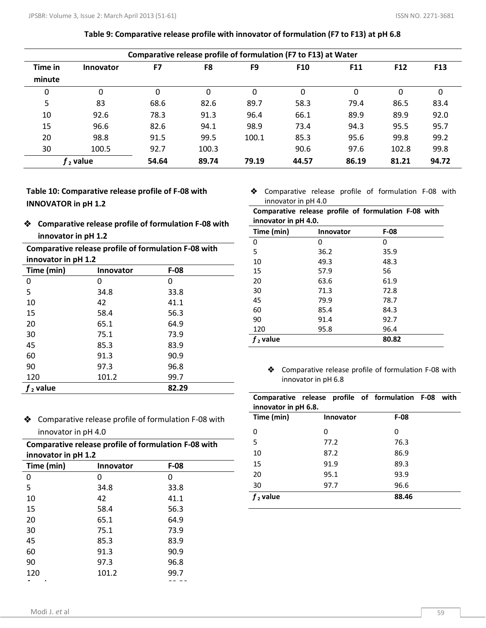|         | Comparative release profile of formulation (F7 to F13) at Water |       |       |                |                 |       |                 |            |  |  |  |
|---------|-----------------------------------------------------------------|-------|-------|----------------|-----------------|-------|-----------------|------------|--|--|--|
| Time in | <b>Innovator</b>                                                | F7    | F8    | F <sub>9</sub> | F <sub>10</sub> | F11   | F <sub>12</sub> | <b>F13</b> |  |  |  |
| minute  |                                                                 |       |       |                |                 |       |                 |            |  |  |  |
| 0       | 0                                                               | 0     | 0     | 0              | 0               | 0     | 0               | 0          |  |  |  |
| 5       | 83                                                              | 68.6  | 82.6  | 89.7           | 58.3            | 79.4  | 86.5            | 83.4       |  |  |  |
| 10      | 92.6                                                            | 78.3  | 91.3  | 96.4           | 66.1            | 89.9  | 89.9            | 92.0       |  |  |  |
| 15      | 96.6                                                            | 82.6  | 94.1  | 98.9           | 73.4            | 94.3  | 95.5            | 95.7       |  |  |  |
| 20      | 98.8                                                            | 91.5  | 99.5  | 100.1          | 85.3            | 95.6  | 99.8            | 99.2       |  |  |  |
| 30      | 100.5                                                           | 92.7  | 100.3 |                | 90.6            | 97.6  | 102.8           | 99.8       |  |  |  |
|         | $f2$ value                                                      | 54.64 | 89.74 | 79.19          | 44.57           | 86.19 | 81.21           | 94.72      |  |  |  |

### **Table 9: Comparative release profile with innovator of formulation (F7 to F13) at pH 6.8**

**Table 10: Comparative release profile of F-08 with INNOVATOR in pH 1.2**

 **Comparative release profile of formulation F-08 with innovator in pH 1.2**

| Comparative release profile of formulation F-08 with |                  |        |  |  |  |  |  |  |
|------------------------------------------------------|------------------|--------|--|--|--|--|--|--|
| innovator in pH 1.2                                  |                  |        |  |  |  |  |  |  |
| Time (min)                                           | <b>Innovator</b> | $F-08$ |  |  |  |  |  |  |
| 0                                                    | O                | O      |  |  |  |  |  |  |
| 5                                                    | 34.8             | 33.8   |  |  |  |  |  |  |
| 10                                                   | 42               | 41.1   |  |  |  |  |  |  |
| 15                                                   | 58.4             | 56.3   |  |  |  |  |  |  |
| 20                                                   | 65.1             | 64.9   |  |  |  |  |  |  |
| 30                                                   | 75.1             | 73.9   |  |  |  |  |  |  |
| 45                                                   | 85.3             | 83.9   |  |  |  |  |  |  |
| 60                                                   | 91.3             | 90.9   |  |  |  |  |  |  |
| 90                                                   | 97.3             | 96.8   |  |  |  |  |  |  |
| 120                                                  | 101.2            | 99.7   |  |  |  |  |  |  |
| $f2$ value                                           |                  | 82.29  |  |  |  |  |  |  |

 Comparative release profile of formulation F-08 with innovator in pH 4.0

| Comparative release profile of formulation F-08 with |  |  |  |
|------------------------------------------------------|--|--|--|
| innovator in pH 4.0.                                 |  |  |  |

| Time (min) | <b>Innovator</b> | $F-08$ |
|------------|------------------|--------|
| 0          | 0                | 0      |
| 5          | 36.2             | 35.9   |
| 10         | 49.3             | 48.3   |
| 15         | 57.9             | 56     |
| 20         | 63.6             | 61.9   |
| 30         | 71.3             | 72.8   |
| 45         | 79.9             | 78.7   |
| 60         | 85.4             | 84.3   |
| 90         | 91.4             | 92.7   |
| 120        | 95.8             | 96.4   |
| $f2$ value |                  | 80.82  |

 Comparative release profile of formulation F-08 with innovator in pH 6.8

| Comparative release profile of formulation F-08 with<br>innovator in pH 6.8. |                  |        |  |  |  |
|------------------------------------------------------------------------------|------------------|--------|--|--|--|
| Time (min)                                                                   | <b>Innovator</b> | $F-08$ |  |  |  |
| 0                                                                            | 0                | 0      |  |  |  |
| 5                                                                            | 77.2             | 76.3   |  |  |  |
| 10                                                                           | 87.2             | 86.9   |  |  |  |
| 15                                                                           | 91.9             | 89.3   |  |  |  |
| 20                                                                           | 95.1             | 93.9   |  |  |  |
| 30                                                                           | 97.7             | 96.6   |  |  |  |
| $f2$ value                                                                   |                  | 88.46  |  |  |  |

 Comparative release profile of formulation F-08 with innovator in pH 4.0

| Comparative release profile of formulation F-08 with<br>innovator in pH 1.2 |       |      |  |  |
|-----------------------------------------------------------------------------|-------|------|--|--|
|                                                                             |       |      |  |  |
| 0                                                                           | O     | U    |  |  |
| 5                                                                           | 34.8  | 33.8 |  |  |
| 10                                                                          | 42    | 41.1 |  |  |
| 15                                                                          | 58.4  | 56.3 |  |  |
| 20                                                                          | 65.1  | 64.9 |  |  |
| 30                                                                          | 75.1  | 73.9 |  |  |
| 45                                                                          | 85.3  | 83.9 |  |  |
| 60                                                                          | 91.3  | 90.9 |  |  |
| 90                                                                          | 97.3  | 96.8 |  |  |
| 120                                                                         | 101.2 | 99.7 |  |  |
|                                                                             |       |      |  |  |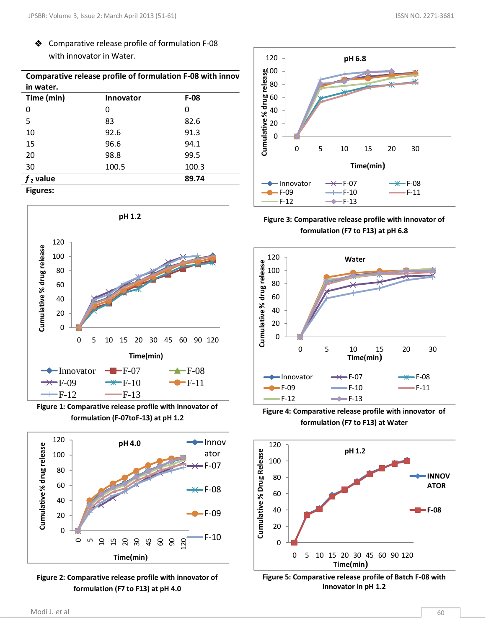◆ Comparative release profile of formulation F-08 with innovator in Water.

| Comparative release profile of formulation F-08 with innov |                  |        |  |  |
|------------------------------------------------------------|------------------|--------|--|--|
| in water.                                                  |                  |        |  |  |
| Time (min)                                                 | <b>Innovator</b> | $F-08$ |  |  |
| 0                                                          |                  | 0      |  |  |
| 5                                                          | 83               | 82.6   |  |  |
| 10                                                         | 92.6             | 91.3   |  |  |
| 15                                                         | 96.6             | 94.1   |  |  |
| 20                                                         | 98.8             | 99.5   |  |  |
| 30                                                         | 100.5            | 100.3  |  |  |
| $f2$ value                                                 |                  | 89.74  |  |  |
| <b>Figures:</b>                                            |                  |        |  |  |



**Figure 1: Comparative release profile with innovator of formulation (F-07toF-13) at pH 1.2**



**Figure 2: Comparative release profile with innovator of formulation (F7 to F13) at pH 4.0**



**Figure 3: Comparative release profile with innovator of formulation (F7 to F13) at pH 6.8**



**Figure 4: Comparative release profile with innovator of formulation (F7 to F13) at Water**



**Figure 5: Comparative release profile of Batch F-08 with innovator in pH 1.2**